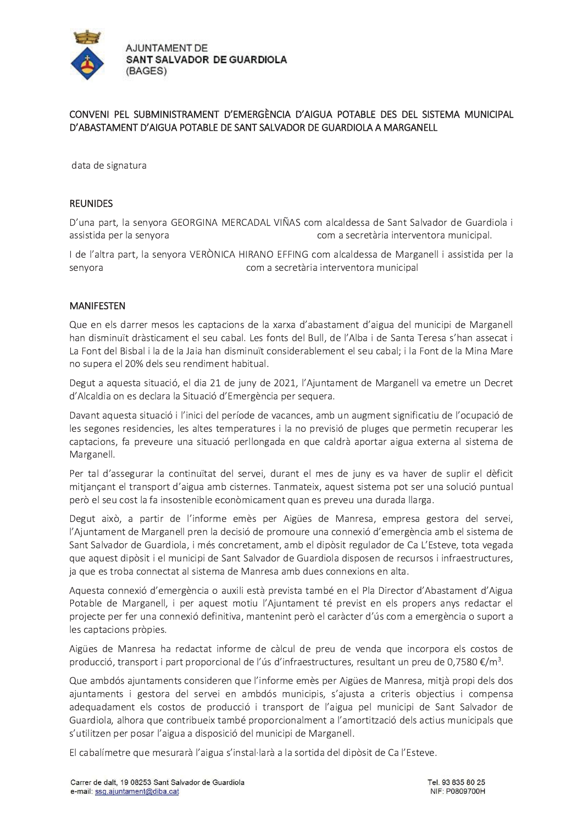

## CONVENI PEL SUBMINISTRAMENT D'EMERGÈNCIA D'AIGUA POTABLE DES DEL SISTEMA MUNICIPAL D'ABASTAMENT D'AIGUA POTABLE DE SANT SALVADOR DE GUARDIOLA A MARGANELL

data de signatura

## **REUNIDES**

D'una part, la senyora GEORGINA MERCADAL VIÑAS com alcaldessa de Sant Salvador de Guardiola i com a secretària interventora municipal. assistida per la senyora

I de l'altra part, la senyora VERÒNICA HIRANO EFFING com alcaldessa de Marganell i assistida per la com a secretària interventora municipal senyora

## **MANIFESTEN**

Que en els darrer mesos les captacions de la xarxa d'abastament d'aigua del municipi de Marganell han disminuït dràsticament el seu cabal. Les fonts del Bull, de l'Alba i de Santa Teresa s'han assecat i La Font del Bisbal i la de la Jaia han disminuït considerablement el seu cabal; i la Font de la Mina Mare no supera el 20% dels seu rendiment habitual.

Degut a aquesta situació, el dia 21 de juny de 2021, l'Ajuntament de Marganell va emetre un Decret d'Alcaldia on es declara la Situació d'Emergència per sequera.

Davant aquesta situació i l'inici del període de vacances, amb un augment significatiu de l'ocupació de les segones residencies, les altes temperatures i la no previsió de pluges que permetin recuperar les captacions, fa preveure una situació perllongada en que caldrà aportar aigua externa al sistema de Marganell.

Per tal d'assegurar la continuïtat del servei, durant el mes de juny es va haver de suplir el dèficit mitjançant el transport d'aigua amb cisternes. Tanmateix, aquest sistema pot ser una solució puntual però el seu cost la fa insostenible econòmicament quan es preveu una durada llarga.

Degut això, a partir de l'informe emès per Aigües de Manresa, empresa gestora del servei, l'Ajuntament de Marganell pren la decisió de promoure una connexió d'emergència amb el sistema de Sant Salvador de Guardiola, i més concretament, amb el dipòsit regulador de Ca L'Esteve, tota vegada que aquest dipòsit i el municipi de Sant Salvador de Guardiola disposen de recursos i infraestructures, ja que es troba connectat al sistema de Manresa amb dues connexions en alta.

Aquesta connexió d'emergència o auxili està prevista també en el Pla Director d'Abastament d'Aigua Potable de Marganell, i per aquest motiu l'Ajuntament té previst en els propers anys redactar el projecte per fer una connexió definitiva, mantenint però el caràcter d'ús com a emergència o suport a les captacions pròpies.

Aigües de Manresa ha redactat informe de càlcul de preu de venda que incorpora els costos de producció, transport i part proporcional de l'ús d'infraestructures, resultant un preu de 0,7580  $\epsilon/m^3$ .

Que ambdós ajuntaments consideren que l'informe emès per Aigües de Manresa, mitjà propi dels dos ajuntaments i gestora del servei en ambdós municipis, s'ajusta a criteris objectius i compensa adequadament els costos de producció i transport de l'aigua pel municipi de Sant Salvador de Guardiola, alhora que contribueix també proporcionalment a l'amortització dels actius municipals que s'utilitzen per posar l'aigua a disposició del municipi de Marganell.

El cabalímetre que mesurarà l'aigua s'instal·larà a la sortida del dipòsit de Ca l'Esteve.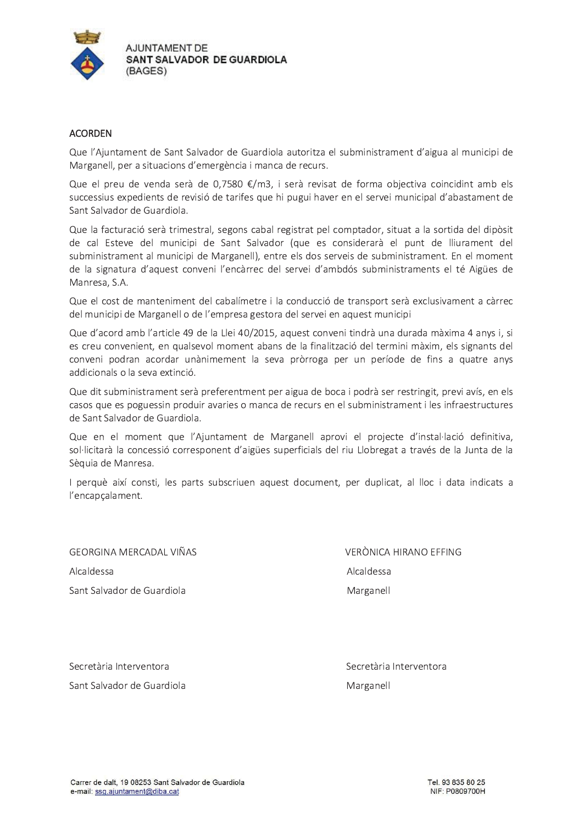

## **ACORDEN**

Que l'Ajuntament de Sant Salvador de Guardiola autoritza el subministrament d'aigua al municipi de Marganell, per a situacions d'emergència i manca de recurs.

Que el preu de venda serà de 0,7580 €/m3, i serà revisat de forma objectiva coincidint amb els successius expedients de revisió de tarifes que hi pugui haver en el servei municipal d'abastament de Sant Salvador de Guardiola.

Que la facturació serà trimestral, segons cabal registrat pel comptador, situat a la sortida del dipòsit de cal Esteve del municipi de Sant Salvador (que es considerarà el punt de lliurament del subministrament al municipi de Marganell), entre els dos serveis de subministrament. En el moment de la signatura d'aquest conveni l'encàrrec del servei d'ambdós subministraments el té Aigües de Manresa, S.A.

Que el cost de manteniment del cabalímetre i la conducció de transport serà exclusivament a càrrec del municipi de Marganell o de l'empresa gestora del servei en aquest municipi

Que d'acord amb l'article 49 de la Llei 40/2015, aquest conveni tindrà una durada màxima 4 anys i, si es creu convenient, en qualsevol moment abans de la finalització del termini màxim, els signants del conveni podran acordar unànimement la seva pròrroga per un període de fins a quatre anys addicionals o la seva extinció.

Que dit subministrament serà preferentment per aigua de boca i podrà ser restringit, previ avís, en els casos que es poguessin produir avaries o manca de recurs en el subministrament i les infraestructures de Sant Salvador de Guardiola.

Que en el moment que l'Ajuntament de Marganell aprovi el projecte d'instal·lació definitiva, sol·licitarà la concessió corresponent d'aigües superficials del riu Llobregat a través de la Junta de la Sèquia de Manresa.

I perquè així consti, les parts subscriuen aquest document, per duplicat, al lloc i data indicats a l'encapçalament.

**GEORGINA MERCADAL VIÑAS** Alcaldessa Sant Salvador de Guardiola

**VERÒNICA HIRANO EFFING** Alcaldessa Marganell

Secretària Interventora Sant Salvador de Guardiola Secretària Interventora Marganell